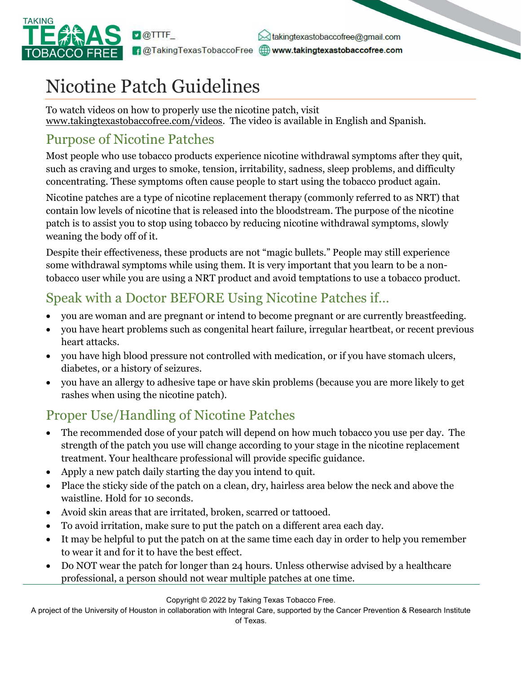

 $\bowtie$  takingtexastobaccofree@gmail.com f @TakingTexasTobaccoFree @www.takingtexastobaccofree.com

# Nicotine Patch Guidelines

To watch videos on how to properly use the nicotine patch, visit www.takingtexastobaccofree.com/videos. The video is available in English and Spanish.

#### Purpose of Nicotine Patches

Most people who use tobacco products experience nicotine withdrawal symptoms after they quit, such as craving and urges to smoke, tension, irritability, sadness, sleep problems, and difficulty concentrating. These symptoms often cause people to start using the tobacco product again.

Nicotine patches are a type of nicotine replacement therapy (commonly referred to as NRT) that contain low levels of nicotine that is released into the bloodstream. The purpose of the nicotine patch is to assist you to stop using tobacco by reducing nicotine withdrawal symptoms, slowly weaning the body off of it.

Despite their effectiveness, these products are not "magic bullets." People may still experience some withdrawal symptoms while using them. It is very important that you learn to be a nontobacco user while you are using a NRT product and avoid temptations to use a tobacco product.

# Speak with a Doctor BEFORE Using Nicotine Patches if…

- you are woman and are pregnant or intend to become pregnant or are currently breastfeeding.
- you have heart problems such as congenital heart failure, irregular heartbeat, or recent previous heart attacks.
- you have high blood pressure not controlled with medication, or if you have stomach ulcers, diabetes, or a history of seizures.
- you have an allergy to adhesive tape or have skin problems (because you are more likely to get rashes when using the nicotine patch).

# Proper Use/Handling of Nicotine Patches

- The recommended dose of your patch will depend on how much tobacco you use per day. The strength of the patch you use will change according to your stage in the nicotine replacement treatment. Your healthcare professional will provide specific guidance.
- Apply a new patch daily starting the day you intend to quit.
- Place the sticky side of the patch on a clean, dry, hairless area below the neck and above the waistline. Hold for 10 seconds.
- Avoid skin areas that are irritated, broken, scarred or tattooed.
- To avoid irritation, make sure to put the patch on a different area each day.
- It may be helpful to put the patch on at the same time each day in order to help you remember to wear it and for it to have the best effect.
- Do NOT wear the patch for longer than 24 hours. Unless otherwise advised by a healthcare professional, a person should not wear multiple patches at one time.

Copyright © 2022 by Taking Texas Tobacco Free.

A project of the University of Houston in collaboration with Integral Care, supported by the Cancer Prevention & Research Institute of Texas.